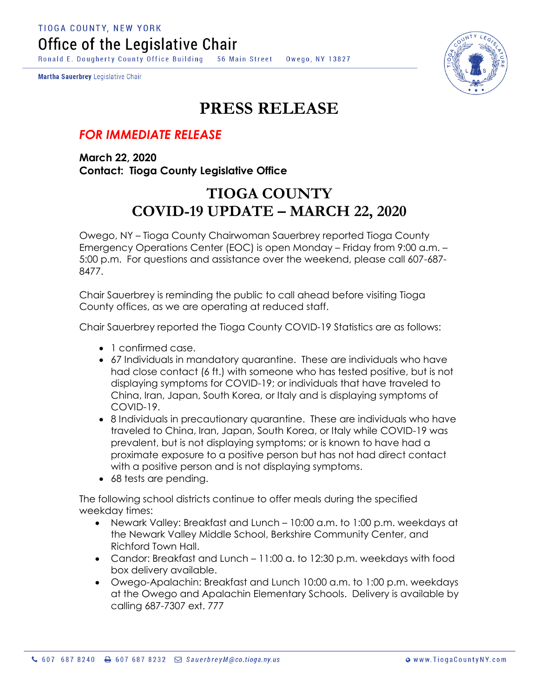**TIOGA COUNTY, NEW YORK** Office of the Legislative Chair

Ronald E. Dougherty County Office Building 56 Main Street Owego, NY 13827

Martha Sauerbrey Legislative Chair



## **PRESS RELEASE**

## *FOR IMMEDIATE RELEASE*

**March 22, 2020 Contact: Tioga County Legislative Office**

## **TIOGA COUNTY COVID-19 UPDATE – MARCH 22, 2020**

Owego, NY – Tioga County Chairwoman Sauerbrey reported Tioga County Emergency Operations Center (EOC) is open Monday – Friday from 9:00 a.m. – 5:00 p.m. For questions and assistance over the weekend, please call 607-687- 8477.

Chair Sauerbrey is reminding the public to call ahead before visiting Tioga County offices, as we are operating at reduced staff.

Chair Sauerbrey reported the Tioga County COVID-19 Statistics are as follows:

- 1 confirmed case.
- 67 Individuals in mandatory quarantine. These are individuals who have had close contact (6 ft.) with someone who has tested positive, but is not displaying symptoms for COVID-19; or individuals that have traveled to China, Iran, Japan, South Korea, or Italy and is displaying symptoms of COVID-19.
- 8 Individuals in precautionary quarantine. These are individuals who have traveled to China, Iran, Japan, South Korea, or Italy while COVID-19 was prevalent, but is not displaying symptoms; or is known to have had a proximate exposure to a positive person but has not had direct contact with a positive person and is not displaying symptoms.
- 68 tests are pending.

The following school districts continue to offer meals during the specified weekday times:

- Newark Valley: Breakfast and Lunch 10:00 a.m. to 1:00 p.m. weekdays at the Newark Valley Middle School, Berkshire Community Center, and Richford Town Hall.
- Candor: Breakfast and Lunch 11:00 a. to 12:30 p.m. weekdays with food box delivery available.
- Owego-Apalachin: Breakfast and Lunch 10:00 a.m. to 1:00 p.m. weekdays at the Owego and Apalachin Elementary Schools. Delivery is available by calling 687-7307 ext. 777